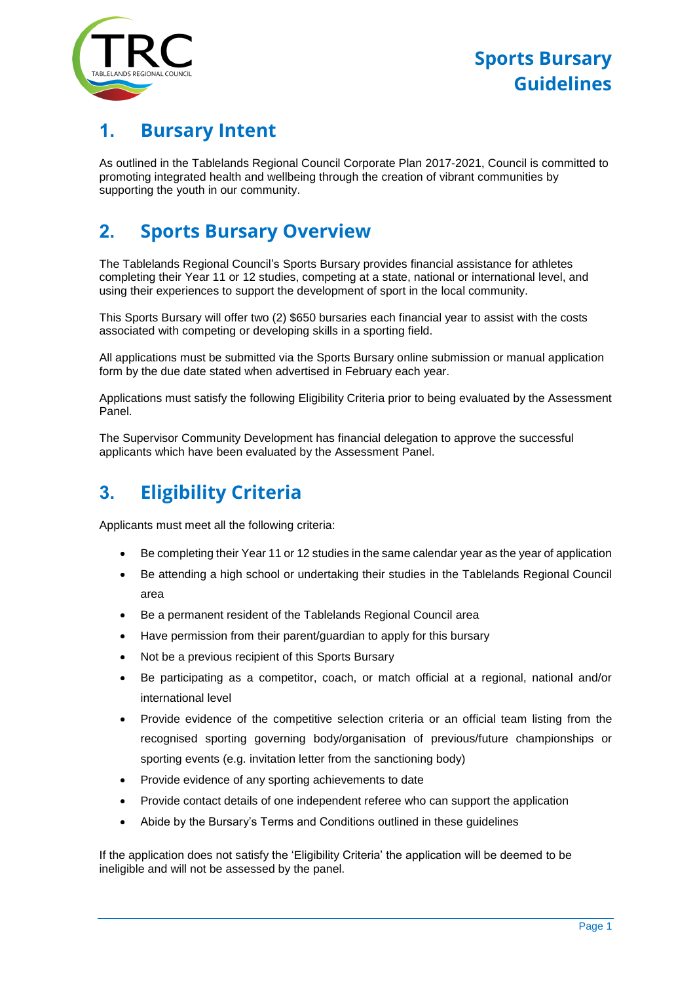

## **1. Bursary Intent**

As outlined in the Tablelands Regional Council Corporate Plan 2017-2021, Council is committed to promoting integrated health and wellbeing through the creation of vibrant communities by supporting the youth in our community.

# **2. Sports Bursary Overview**

The Tablelands Regional Council's Sports Bursary provides financial assistance for athletes completing their Year 11 or 12 studies, competing at a state, national or international level, and using their experiences to support the development of sport in the local community.

This Sports Bursary will offer two (2) \$650 bursaries each financial year to assist with the costs associated with competing or developing skills in a sporting field.

All applications must be submitted via the Sports Bursary online submission or manual application form by the due date stated when advertised in February each year.

Applications must satisfy the following Eligibility Criteria prior to being evaluated by the Assessment Panel.

The Supervisor Community Development has financial delegation to approve the successful applicants which have been evaluated by the Assessment Panel.

# **3. Eligibility Criteria**

Applicants must meet all the following criteria:

- Be completing their Year 11 or 12 studies in the same calendar year as the year of application
- Be attending a high school or undertaking their studies in the Tablelands Regional Council area
- Be a permanent resident of the Tablelands Regional Council area
- Have permission from their parent/guardian to apply for this bursary
- Not be a previous recipient of this Sports Bursary
- Be participating as a competitor, coach, or match official at a regional, national and/or international level
- Provide evidence of the competitive selection criteria or an official team listing from the recognised sporting governing body/organisation of previous/future championships or sporting events (e.g. invitation letter from the sanctioning body)
- Provide evidence of any sporting achievements to date
- Provide contact details of one independent referee who can support the application
- Abide by the Bursary's Terms and Conditions outlined in these guidelines

If the application does not satisfy the 'Eligibility Criteria' the application will be deemed to be ineligible and will not be assessed by the panel.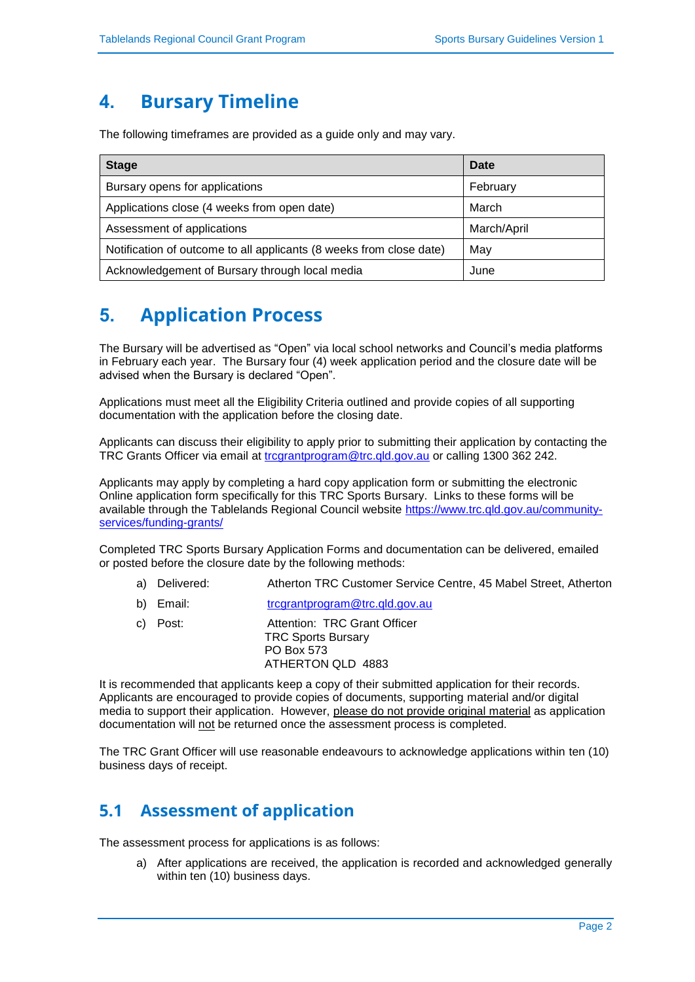## **4. Bursary Timeline**

The following timeframes are provided as a guide only and may vary.

| <b>Stage</b>                                                        | Date        |
|---------------------------------------------------------------------|-------------|
| Bursary opens for applications                                      | February    |
| Applications close (4 weeks from open date)                         | March       |
| Assessment of applications                                          | March/April |
| Notification of outcome to all applicants (8 weeks from close date) | May         |
| Acknowledgement of Bursary through local media                      | June        |

# **5. Application Process**

The Bursary will be advertised as "Open" via local school networks and Council's media platforms in February each year. The Bursary four (4) week application period and the closure date will be advised when the Bursary is declared "Open".

Applications must meet all the Eligibility Criteria outlined and provide copies of all supporting documentation with the application before the closing date.

Applicants can discuss their eligibility to apply prior to submitting their application by contacting the TRC Grants Officer via email at [trcgrantprogram@trc.qld.gov.au](mailto:trcgrantprogram@trc.qld.gov.au) or calling 1300 362 242.

Applicants may apply by completing a hard copy application form or submitting the electronic Online application form specifically for this TRC Sports Bursary. Links to these forms will be available through the Tablelands Regional Council website [https://www.trc.qld.gov.au/community](https://www.trc.qld.gov.au/community-services/funding-grants/)[services/funding-grants/](https://www.trc.qld.gov.au/community-services/funding-grants/)

Completed TRC Sports Bursary Application Forms and documentation can be delivered, emailed or posted before the closure date by the following methods:

- a) Delivered: Atherton TRC Customer Service Centre, 45 Mabel Street, Atherton
- b) Email: [trcgrantprogram@trc.qld.gov.au](mailto:trcgrantprogram@trc.qld.gov.au)
- c) Post: Attention: TRC Grant Officer TRC Sports Bursary PO Box 573 ATHERTON QLD 4883

It is recommended that applicants keep a copy of their submitted application for their records. Applicants are encouraged to provide copies of documents, supporting material and/or digital media to support their application. However, please do not provide original material as application documentation will not be returned once the assessment process is completed.

The TRC Grant Officer will use reasonable endeavours to acknowledge applications within ten (10) business days of receipt.

#### **5.1 Assessment of application**

The assessment process for applications is as follows:

a) After applications are received, the application is recorded and acknowledged generally within ten (10) business days.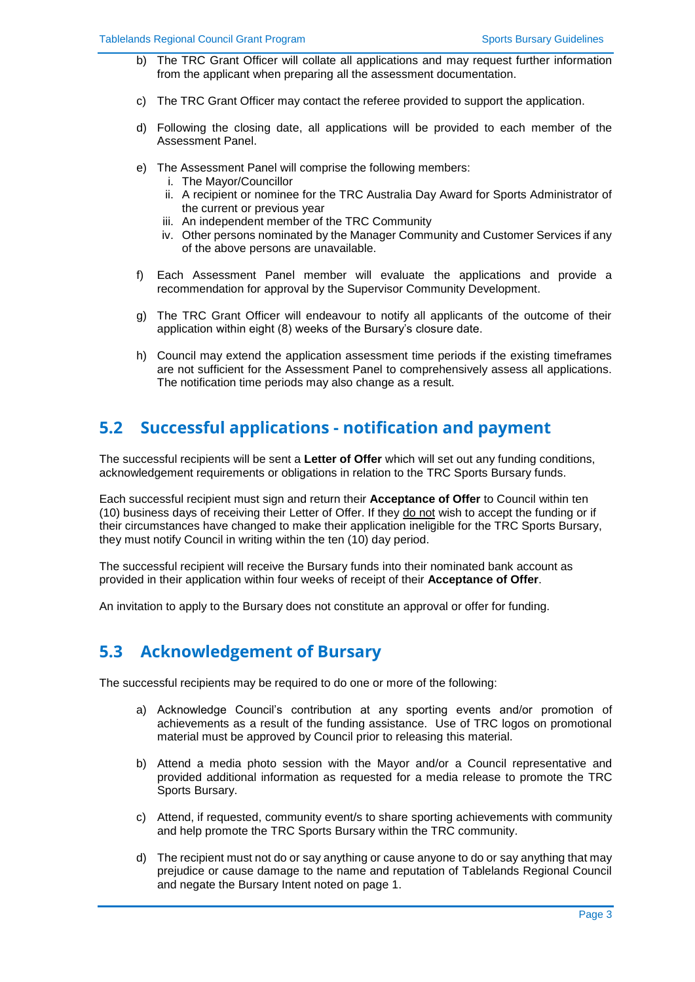- b) The TRC Grant Officer will collate all applications and may request further information from the applicant when preparing all the assessment documentation.
- c) The TRC Grant Officer may contact the referee provided to support the application.
- d) Following the closing date, all applications will be provided to each member of the Assessment Panel.
- e) The Assessment Panel will comprise the following members:
	- i. The Mayor/Councillor
	- ii. A recipient or nominee for the TRC Australia Day Award for Sports Administrator of the current or previous year
	- iii. An independent member of the TRC Community
	- iv. Other persons nominated by the Manager Community and Customer Services if any of the above persons are unavailable.
- f) Each Assessment Panel member will evaluate the applications and provide a recommendation for approval by the Supervisor Community Development.
- g) The TRC Grant Officer will endeavour to notify all applicants of the outcome of their application within eight (8) weeks of the Bursary's closure date.
- h) Council may extend the application assessment time periods if the existing timeframes are not sufficient for the Assessment Panel to comprehensively assess all applications. The notification time periods may also change as a result.

#### **5.2 Successful applications - notification and payment**

The successful recipients will be sent a **Letter of Offer** which will set out any funding conditions, acknowledgement requirements or obligations in relation to the TRC Sports Bursary funds.

Each successful recipient must sign and return their **Acceptance of Offer** to Council within ten (10) business days of receiving their Letter of Offer. If they do not wish to accept the funding or if their circumstances have changed to make their application ineligible for the TRC Sports Bursary, they must notify Council in writing within the ten (10) day period.

The successful recipient will receive the Bursary funds into their nominated bank account as provided in their application within four weeks of receipt of their **Acceptance of Offer**.

An invitation to apply to the Bursary does not constitute an approval or offer for funding.

#### **5.3 Acknowledgement of Bursary**

The successful recipients may be required to do one or more of the following:

- a) Acknowledge Council's contribution at any sporting events and/or promotion of achievements as a result of the funding assistance. Use of TRC logos on promotional material must be approved by Council prior to releasing this material.
- b) Attend a media photo session with the Mayor and/or a Council representative and provided additional information as requested for a media release to promote the TRC Sports Bursary.
- c) Attend, if requested, community event/s to share sporting achievements with community and help promote the TRC Sports Bursary within the TRC community.
- d) The recipient must not do or say anything or cause anyone to do or say anything that may prejudice or cause damage to the name and reputation of Tablelands Regional Council and negate the Bursary Intent noted on page 1.